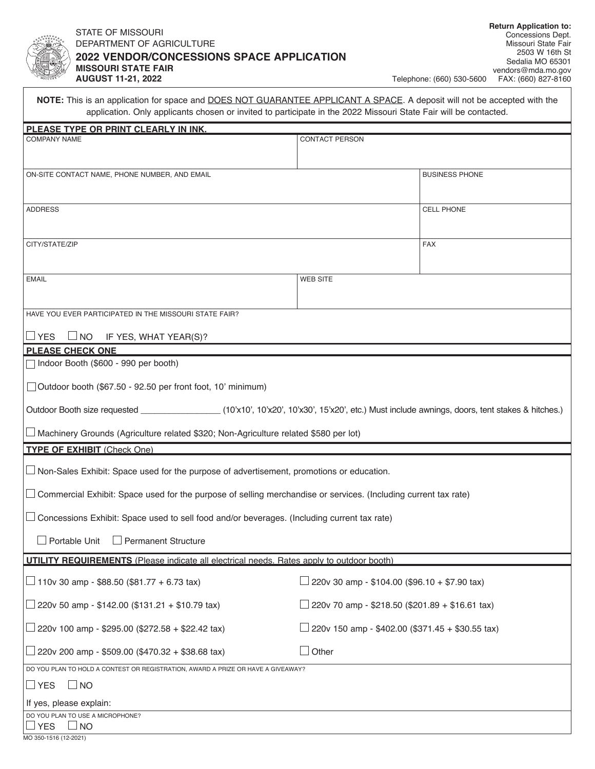

## STATE OF MISSOURI DEPARTMENT OF AGRICULTURE **022 VENDOR/CONCESSIONS SPACE APPLICATION 2 ISSOURI STATE FAIR M UGUST 11-21, 2022 A**

| NOTE: This is an application for space and DOES NOT GUARANTEE APPLICANT A SPACE. A deposit will not be accepted with the<br>application. Only applicants chosen or invited to participate in the 2022 Missouri State Fair will be contacted. |                                                         |                       |
|----------------------------------------------------------------------------------------------------------------------------------------------------------------------------------------------------------------------------------------------|---------------------------------------------------------|-----------------------|
| PLEASE TYPE OR PRINT CLEARLY IN INK.                                                                                                                                                                                                         |                                                         |                       |
| <b>COMPANY NAME</b>                                                                                                                                                                                                                          | CONTACT PERSON                                          |                       |
| ON-SITE CONTACT NAME, PHONE NUMBER, AND EMAIL                                                                                                                                                                                                |                                                         | <b>BUSINESS PHONE</b> |
| <b>ADDRESS</b>                                                                                                                                                                                                                               |                                                         | CELL PHONE            |
| CITY/STATE/ZIP                                                                                                                                                                                                                               |                                                         | <b>FAX</b>            |
| <b>EMAIL</b>                                                                                                                                                                                                                                 | <b>WEB SITE</b>                                         |                       |
| HAVE YOU EVER PARTICIPATED IN THE MISSOURI STATE FAIR?                                                                                                                                                                                       |                                                         |                       |
| $\sqcup$ YES<br>$\Box$ NO<br>IF YES, WHAT YEAR(S)?                                                                                                                                                                                           |                                                         |                       |
| <b>PLEASE CHECK ONE</b><br>Indoor Booth (\$600 - 990 per booth)                                                                                                                                                                              |                                                         |                       |
| Outdoor booth (\$67.50 - 92.50 per front foot, 10' minimum)                                                                                                                                                                                  |                                                         |                       |
| Outdoor Booth size requested _________________(10'x10', 10'x20', 10'x30', 15'x20', etc.) Must include awnings, doors, tent stakes & hitches.)                                                                                                |                                                         |                       |
| $\Box$ Machinery Grounds (Agriculture related \$320; Non-Agriculture related \$580 per lot)                                                                                                                                                  |                                                         |                       |
| <b>TYPE OF EXHIBIT (Check One)</b>                                                                                                                                                                                                           |                                                         |                       |
| $\Box$ Non-Sales Exhibit: Space used for the purpose of advertisement, promotions or education.                                                                                                                                              |                                                         |                       |
| □ Commercial Exhibit: Space used for the purpose of selling merchandise or services. (Including current tax rate)                                                                                                                            |                                                         |                       |
| $\Box$ Concessions Exhibit: Space used to sell food and/or beverages. (Including current tax rate)                                                                                                                                           |                                                         |                       |
| Portable Unit<br>$\Box$ Permanent Structure                                                                                                                                                                                                  |                                                         |                       |
| <b>UTILITY REQUIREMENTS</b> (Please indicate all electrical needs. Rates apply to outdoor booth)                                                                                                                                             |                                                         |                       |
| $\Box$ 110v 30 amp - \$88.50 (\$81.77 + 6.73 tax)                                                                                                                                                                                            | $\Box$ 220v 30 amp - \$104.00 (\$96.10 + \$7.90 tax)    |                       |
| □ 220v 50 amp - \$142.00 (\$131.21 + \$10.79 tax)                                                                                                                                                                                            | $\Box$ 220v 70 amp - \$218.50 (\$201.89 + \$16.61 tax)  |                       |
| $□$ 220v 100 amp - \$295.00 (\$272.58 + \$22.42 tax)                                                                                                                                                                                         | $\Box$ 220v 150 amp - \$402.00 (\$371.45 + \$30.55 tax) |                       |
| $\perp$ 220v 200 amp - \$509.00 (\$470.32 + \$38.68 tax)                                                                                                                                                                                     | $\Box$ Other                                            |                       |
| DO YOU PLAN TO HOLD A CONTEST OR REGISTRATION, AWARD A PRIZE OR HAVE A GIVEAWAY?                                                                                                                                                             |                                                         |                       |
| $\Box$ YES<br>$\sqcup$ NO                                                                                                                                                                                                                    |                                                         |                       |
| If yes, please explain:                                                                                                                                                                                                                      |                                                         |                       |
| DO YOU PLAN TO USE A MICROPHONE?<br><b>YES</b><br>⊿ NO                                                                                                                                                                                       |                                                         |                       |
| MO 350-1516 (12-2021)                                                                                                                                                                                                                        |                                                         |                       |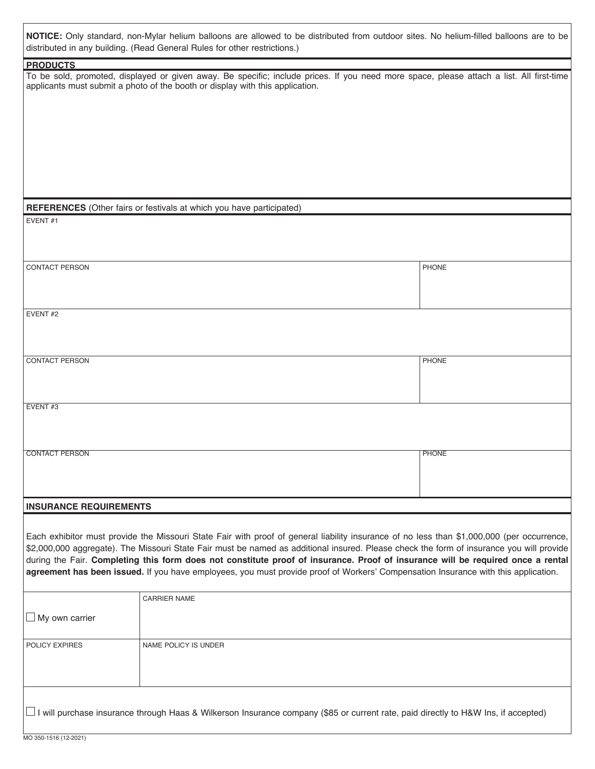| NOTICE: Only standard, non-Mylar helium balloons are allowed to be distributed from outdoor sites. No helium-filled balloons are to be |  |  |  |  |  |  |  |
|----------------------------------------------------------------------------------------------------------------------------------------|--|--|--|--|--|--|--|
| distributed in any building. (Read General Rules for other restrictions.)                                                              |  |  |  |  |  |  |  |

|                               | <b>NOTICE.</b> Only standard, non-wiyiar nelium balloons are allowed to be distributed hom outdoor sites. No helium-niled balloons are to be<br>distributed in any building. (Read General Rules for other restrictions.)                                                                                                                                                                                                                                                                                                                                       |              |
|-------------------------------|-----------------------------------------------------------------------------------------------------------------------------------------------------------------------------------------------------------------------------------------------------------------------------------------------------------------------------------------------------------------------------------------------------------------------------------------------------------------------------------------------------------------------------------------------------------------|--------------|
| <b>PRODUCTS</b>               |                                                                                                                                                                                                                                                                                                                                                                                                                                                                                                                                                                 |              |
|                               | To be sold, promoted, displayed or given away. Be specific; include prices. If you need more space, please attach a list. All first-time<br>applicants must submit a photo of the booth or display with this application.                                                                                                                                                                                                                                                                                                                                       |              |
|                               | REFERENCES (Other fairs or festivals at which you have participated)                                                                                                                                                                                                                                                                                                                                                                                                                                                                                            |              |
| EVENT#1                       |                                                                                                                                                                                                                                                                                                                                                                                                                                                                                                                                                                 |              |
| <b>CONTACT PERSON</b>         |                                                                                                                                                                                                                                                                                                                                                                                                                                                                                                                                                                 | PHONE        |
| EVENT#2                       |                                                                                                                                                                                                                                                                                                                                                                                                                                                                                                                                                                 |              |
| <b>CONTACT PERSON</b>         |                                                                                                                                                                                                                                                                                                                                                                                                                                                                                                                                                                 | PHONE        |
| EVENT#3                       |                                                                                                                                                                                                                                                                                                                                                                                                                                                                                                                                                                 |              |
| <b>CONTACT PERSON</b>         |                                                                                                                                                                                                                                                                                                                                                                                                                                                                                                                                                                 | <b>PHONE</b> |
| <b>INSURANCE REQUIREMENTS</b> |                                                                                                                                                                                                                                                                                                                                                                                                                                                                                                                                                                 |              |
|                               | Each exhibitor must provide the Missouri State Fair with proof of general liability insurance of no less than \$1,000,000 (per occurrence,<br>\$2,000,000 aggregate). The Missouri State Fair must be named as additional insured. Please check the form of insurance you will provide<br>during the Fair. Completing this form does not constitute proof of insurance. Proof of insurance will be required once a rental<br>agreement has been issued. If you have employees, you must provide proof of Workers' Compensation Insurance with this application. |              |
| $\Box$ My own carrier         | <b>CARRIER NAME</b>                                                                                                                                                                                                                                                                                                                                                                                                                                                                                                                                             |              |
| POLICY EXPIRES                | NAME POLICY IS UNDER                                                                                                                                                                                                                                                                                                                                                                                                                                                                                                                                            |              |

 $\Box$  I will purchase insurance through Haas & Wilkerson Insurance company (\$85 or current rate, paid directly to H&W Ins, if accepted)